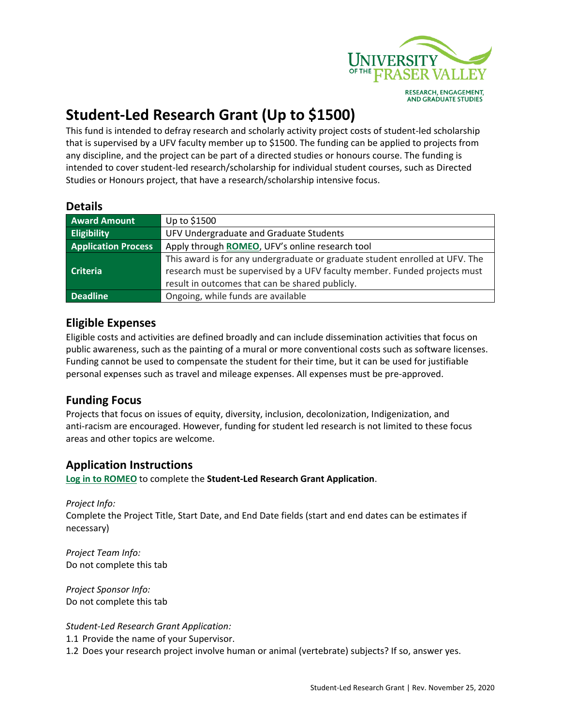

# **Student-Led Research Grant (Up to \$1500)**

This fund is intended to defray research and scholarly activity project costs of student-led scholarship that is supervised by a UFV faculty member up to \$1500. The funding can be applied to projects from any discipline, and the project can be part of a directed studies or honours course. The funding is intended to cover student-led research/scholarship for individual student courses, such as Directed Studies or Honours project, that have a research/scholarship intensive focus.

#### **Details**

| <b>Award Amount</b>        | Up to \$1500                                                                 |
|----------------------------|------------------------------------------------------------------------------|
| <b>Eligibility</b>         | UFV Undergraduate and Graduate Students                                      |
| <b>Application Process</b> | Apply through ROMEO, UFV's online research tool                              |
|                            | This award is for any undergraduate or graduate student enrolled at UFV. The |
| <b>Criteria</b>            | research must be supervised by a UFV faculty member. Funded projects must    |
|                            | result in outcomes that can be shared publicly.                              |
| <b>Deadline</b>            | Ongoing, while funds are available                                           |

### **Eligible Expenses**

Eligible costs and activities are defined broadly and can include dissemination activities that focus on public awareness, such as the painting of a mural or more conventional costs such as software licenses. Funding cannot be used to compensate the student for their time, but it can be used for justifiable personal expenses such as travel and mileage expenses. All expenses must be pre-approved.

### **Funding Focus**

Projects that focus on issues of equity, diversity, inclusion, decolonization, Indigenization, and anti-racism are encouraged. However, funding for student led research is not limited to these focus areas and other topics are welcome.

## **Application Instructions**

**Log in [to ROMEO](https://ufv.researchservicesoffice.com/Romeo.Researcher/(S(rul2oruq02hldc455fzazkzc))/Login.aspx?ReturnUrl=%2fROMEO.Researcher%2f)** to complete the **Student-Led Research Grant Application**.

*Project Info:* Complete the Project Title, Start Date, and End Date fields (start and end dates can be estimates if necessary)

*Project Team Info:* Do not complete this tab

*Project Sponsor Info:* Do not complete this tab

*Student-Led Research Grant Application:*

1.1 Provide the name of your Supervisor.

1.2 Does your research project involve human or animal (vertebrate) subjects? If so, answer yes.